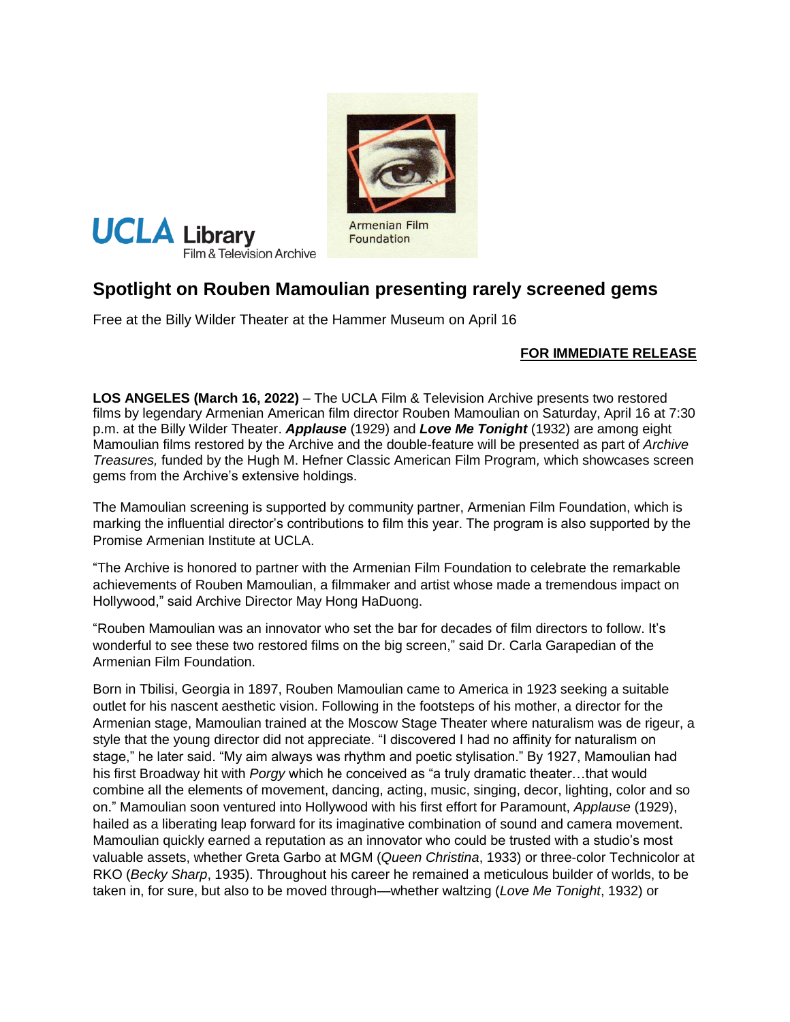



Foundation

# **Spotlight on Rouben Mamoulian presenting rarely screened gems**

Free at the Billy Wilder Theater at the Hammer Museum on April 16

# **FOR IMMEDIATE RELEASE**

**LOS ANGELES (March 16, 2022)** – The UCLA Film & Television Archive presents two restored films by legendary Armenian American film director Rouben Mamoulian on Saturday, April 16 at 7:30 p.m. at the Billy Wilder Theater. *Applause* (1929) and *Love Me Tonight* (1932) are among eight Mamoulian films restored by the Archive and the double-feature will be presented as part of *Archive Treasures,* funded by the Hugh M. Hefner Classic American Film Program*,* which showcases screen gems from the Archive's extensive holdings.

The Mamoulian screening is supported by community partner, Armenian Film Foundation, which is marking the influential director's contributions to film this year. The program is also supported by the Promise Armenian Institute at UCLA.

"The Archive is honored to partner with the Armenian Film Foundation to celebrate the remarkable achievements of Rouben Mamoulian, a filmmaker and artist whose made a tremendous impact on Hollywood," said Archive Director May Hong HaDuong.

"Rouben Mamoulian was an innovator who set the bar for decades of film directors to follow. It's wonderful to see these two restored films on the big screen," said Dr. Carla Garapedian of the Armenian Film Foundation.

Born in Tbilisi, Georgia in 1897, Rouben Mamoulian came to America in 1923 seeking a suitable outlet for his nascent aesthetic vision. Following in the footsteps of his mother, a director for the Armenian stage, Mamoulian trained at the Moscow Stage Theater where naturalism was de rigeur, a style that the young director did not appreciate. "I discovered I had no affinity for naturalism on stage," he later said. "My aim always was rhythm and poetic stylisation." By 1927, Mamoulian had his first Broadway hit with *Porgy* which he conceived as "a truly dramatic theater…that would combine all the elements of movement, dancing, acting, music, singing, decor, lighting, color and so on." Mamoulian soon ventured into Hollywood with his first effort for Paramount, *Applause* (1929), hailed as a liberating leap forward for its imaginative combination of sound and camera movement. Mamoulian quickly earned a reputation as an innovator who could be trusted with a studio's most valuable assets, whether Greta Garbo at MGM (*Queen Christina*, 1933) or three-color Technicolor at RKO (*Becky Sharp*, 1935). Throughout his career he remained a meticulous builder of worlds, to be taken in, for sure, but also to be moved through—whether waltzing (*Love Me Tonight*, 1932) or